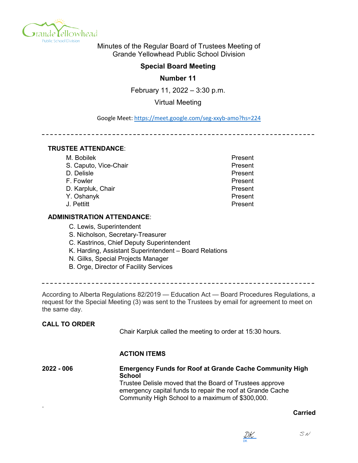

Minutes of the Regular Board of Trustees Meeting of Grande Yellowhead Public School Division

# **Special Board Meeting**

**Number 11**

February 11, 2022 – 3:30 p.m.

Virtual Meeting

Google Meet: https://meet.google.com/seg-xxyb-amo?hs=224

\_\_\_\_\_\_\_\_\_\_\_\_\_\_\_\_\_\_\_\_\_\_\_\_

## **TRUSTEE ATTENDANCE**:

| M. Bobilek            | Present |
|-----------------------|---------|
| S. Caputo, Vice-Chair | Present |
| D. Delisle            | Present |
| F. Fowler             | Present |
| D. Karpluk, Chair     | Present |
| Y. Oshanyk            | Present |
| J. Pettitt            | Present |
|                       |         |

## **ADMINISTRATION ATTENDANCE**:

- C. Lewis, Superintendent
- S. Nicholson, Secretary-Treasurer
- C. Kastrinos, Chief Deputy Superintendent
- K. Harding, Assistant Superintendent Board Relations
- N. Gilks, Special Projects Manager
- B. Orge, Director of Facility Services

According to Alberta Regulations 82/2019 — Education Act — Board Procedures Regulations, a request for the Special Meeting (3) was sent to the Trustees by email for agreement to meet on the same day.

## **CALL TO ORDER**

Chair Karpluk called the meeting to order at 15:30 hours.

## **ACTION ITEMS**

**2022 - 006 Emergency Funds for Roof at Grande Cache Community High School** Trustee Delisle moved that the Board of Trustees approve emergency capital funds to repair the roof at Grande Cache Community High School to a maximum of \$300,000. .

#### **Carried**